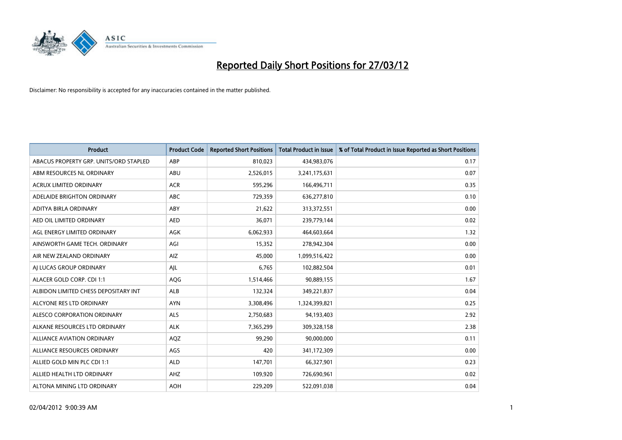

| <b>Product</b>                         | <b>Product Code</b> | <b>Reported Short Positions</b> | <b>Total Product in Issue</b> | % of Total Product in Issue Reported as Short Positions |
|----------------------------------------|---------------------|---------------------------------|-------------------------------|---------------------------------------------------------|
| ABACUS PROPERTY GRP. UNITS/ORD STAPLED | ABP                 | 810,023                         | 434,983,076                   | 0.17                                                    |
| ABM RESOURCES NL ORDINARY              | ABU                 | 2,526,015                       | 3,241,175,631                 | 0.07                                                    |
| <b>ACRUX LIMITED ORDINARY</b>          | <b>ACR</b>          | 595,296                         | 166,496,711                   | 0.35                                                    |
| ADELAIDE BRIGHTON ORDINARY             | <b>ABC</b>          | 729,359                         | 636,277,810                   | 0.10                                                    |
| ADITYA BIRLA ORDINARY                  | ABY                 | 21,622                          | 313,372,551                   | 0.00                                                    |
| AED OIL LIMITED ORDINARY               | <b>AED</b>          | 36,071                          | 239,779,144                   | 0.02                                                    |
| AGL ENERGY LIMITED ORDINARY            | AGK                 | 6,062,933                       | 464,603,664                   | 1.32                                                    |
| AINSWORTH GAME TECH. ORDINARY          | AGI                 | 15,352                          | 278,942,304                   | 0.00                                                    |
| AIR NEW ZEALAND ORDINARY               | AIZ                 | 45,000                          | 1,099,516,422                 | 0.00                                                    |
| AI LUCAS GROUP ORDINARY                | AJL                 | 6,765                           | 102,882,504                   | 0.01                                                    |
| ALACER GOLD CORP. CDI 1:1              | AQG                 | 1,514,466                       | 90,889,155                    | 1.67                                                    |
| ALBIDON LIMITED CHESS DEPOSITARY INT   | <b>ALB</b>          | 132,324                         | 349,221,837                   | 0.04                                                    |
| ALCYONE RES LTD ORDINARY               | <b>AYN</b>          | 3,308,496                       | 1,324,399,821                 | 0.25                                                    |
| ALESCO CORPORATION ORDINARY            | ALS                 | 2,750,683                       | 94,193,403                    | 2.92                                                    |
| ALKANE RESOURCES LTD ORDINARY          | <b>ALK</b>          | 7,365,299                       | 309,328,158                   | 2.38                                                    |
| ALLIANCE AVIATION ORDINARY             | AQZ                 | 99,290                          | 90,000,000                    | 0.11                                                    |
| ALLIANCE RESOURCES ORDINARY            | AGS                 | 420                             | 341,172,309                   | 0.00                                                    |
| ALLIED GOLD MIN PLC CDI 1:1            | <b>ALD</b>          | 147,701                         | 66,327,901                    | 0.23                                                    |
| ALLIED HEALTH LTD ORDINARY             | AHZ                 | 109,920                         | 726,690,961                   | 0.02                                                    |
| ALTONA MINING LTD ORDINARY             | <b>AOH</b>          | 229,209                         | 522,091,038                   | 0.04                                                    |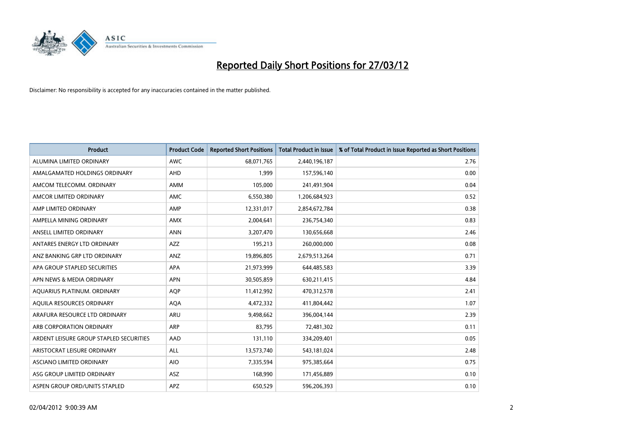

| <b>Product</b>                          | <b>Product Code</b> | <b>Reported Short Positions</b> | <b>Total Product in Issue</b> | % of Total Product in Issue Reported as Short Positions |
|-----------------------------------------|---------------------|---------------------------------|-------------------------------|---------------------------------------------------------|
| ALUMINA LIMITED ORDINARY                | <b>AWC</b>          | 68,071,765                      | 2,440,196,187                 | 2.76                                                    |
| AMALGAMATED HOLDINGS ORDINARY           | AHD                 | 1,999                           | 157,596,140                   | 0.00                                                    |
| AMCOM TELECOMM, ORDINARY                | AMM                 | 105,000                         | 241,491,904                   | 0.04                                                    |
| AMCOR LIMITED ORDINARY                  | AMC                 | 6,550,380                       | 1,206,684,923                 | 0.52                                                    |
| AMP LIMITED ORDINARY                    | AMP                 | 12,331,017                      | 2,854,672,784                 | 0.38                                                    |
| AMPELLA MINING ORDINARY                 | AMX                 | 2,004,641                       | 236,754,340                   | 0.83                                                    |
| ANSELL LIMITED ORDINARY                 | <b>ANN</b>          | 3,207,470                       | 130,656,668                   | 2.46                                                    |
| ANTARES ENERGY LTD ORDINARY             | <b>AZZ</b>          | 195,213                         | 260,000,000                   | 0.08                                                    |
| ANZ BANKING GRP LTD ORDINARY            | ANZ                 | 19,896,805                      | 2,679,513,264                 | 0.71                                                    |
| APA GROUP STAPLED SECURITIES            | <b>APA</b>          | 21,973,999                      | 644,485,583                   | 3.39                                                    |
| APN NEWS & MEDIA ORDINARY               | <b>APN</b>          | 30,505,859                      | 630,211,415                   | 4.84                                                    |
| AQUARIUS PLATINUM. ORDINARY             | AQP                 | 11,412,992                      | 470,312,578                   | 2.41                                                    |
| AQUILA RESOURCES ORDINARY               | <b>AQA</b>          | 4,472,332                       | 411,804,442                   | 1.07                                                    |
| ARAFURA RESOURCE LTD ORDINARY           | <b>ARU</b>          | 9,498,662                       | 396,004,144                   | 2.39                                                    |
| ARB CORPORATION ORDINARY                | ARP                 | 83,795                          | 72,481,302                    | 0.11                                                    |
| ARDENT LEISURE GROUP STAPLED SECURITIES | <b>AAD</b>          | 131,110                         | 334,209,401                   | 0.05                                                    |
| ARISTOCRAT LEISURE ORDINARY             | <b>ALL</b>          | 13,573,740                      | 543,181,024                   | 2.48                                                    |
| ASCIANO LIMITED ORDINARY                | <b>AIO</b>          | 7,335,594                       | 975,385,664                   | 0.75                                                    |
| ASG GROUP LIMITED ORDINARY              | ASZ                 | 168,990                         | 171,456,889                   | 0.10                                                    |
| ASPEN GROUP ORD/UNITS STAPLED           | APZ                 | 650,529                         | 596,206,393                   | 0.10                                                    |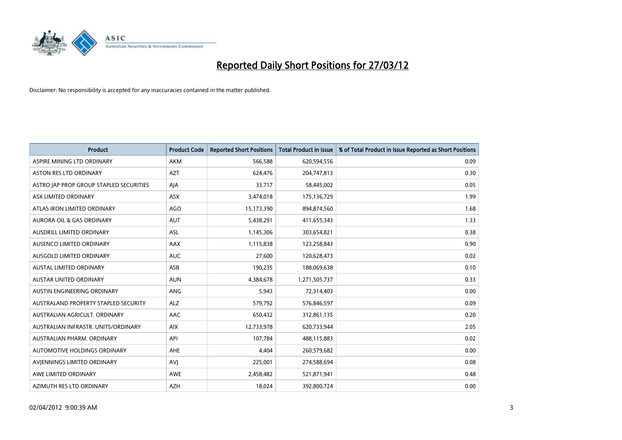

| <b>Product</b>                          | <b>Product Code</b> | <b>Reported Short Positions</b> | <b>Total Product in Issue</b> | % of Total Product in Issue Reported as Short Positions |
|-----------------------------------------|---------------------|---------------------------------|-------------------------------|---------------------------------------------------------|
| ASPIRE MINING LTD ORDINARY              | <b>AKM</b>          | 566,588                         | 620,594,556                   | 0.09                                                    |
| ASTON RES LTD ORDINARY                  | <b>AZT</b>          | 624,476                         | 204,747,813                   | 0.30                                                    |
| ASTRO JAP PROP GROUP STAPLED SECURITIES | AJA                 | 33,717                          | 58,445,002                    | 0.05                                                    |
| ASX LIMITED ORDINARY                    | ASX                 | 3,474,018                       | 175,136,729                   | 1.99                                                    |
| ATLAS IRON LIMITED ORDINARY             | AGO                 | 15,173,390                      | 894,874,560                   | 1.68                                                    |
| <b>AURORA OIL &amp; GAS ORDINARY</b>    | <b>AUT</b>          | 5,438,291                       | 411,655,343                   | 1.33                                                    |
| AUSDRILL LIMITED ORDINARY               | ASL                 | 1,145,306                       | 303,654,821                   | 0.38                                                    |
| AUSENCO LIMITED ORDINARY                | AAX                 | 1,115,838                       | 123,258,843                   | 0.90                                                    |
| AUSGOLD LIMITED ORDINARY                | <b>AUC</b>          | 27,600                          | 120,628,473                   | 0.02                                                    |
| <b>AUSTAL LIMITED ORDINARY</b>          | ASB                 | 190,235                         | 188,069,638                   | 0.10                                                    |
| AUSTAR UNITED ORDINARY                  | <b>AUN</b>          | 4,384,678                       | 1,271,505,737                 | 0.33                                                    |
| AUSTIN ENGINEERING ORDINARY             | ANG                 | 5,943                           | 72,314,403                    | 0.00                                                    |
| AUSTRALAND PROPERTY STAPLED SECURITY    | <b>ALZ</b>          | 579,792                         | 576,846,597                   | 0.09                                                    |
| AUSTRALIAN AGRICULT, ORDINARY           | AAC                 | 650,432                         | 312,861,135                   | 0.20                                                    |
| AUSTRALIAN INFRASTR, UNITS/ORDINARY     | <b>AIX</b>          | 12,733,978                      | 620,733,944                   | 2.05                                                    |
| AUSTRALIAN PHARM. ORDINARY              | API                 | 107,784                         | 488,115,883                   | 0.02                                                    |
| AUTOMOTIVE HOLDINGS ORDINARY            | AHE                 | 4,404                           | 260,579,682                   | 0.00                                                    |
| AVIENNINGS LIMITED ORDINARY             | <b>AVJ</b>          | 225,001                         | 274,588,694                   | 0.08                                                    |
| AWE LIMITED ORDINARY                    | <b>AWE</b>          | 2,458,482                       | 521,871,941                   | 0.48                                                    |
| AZIMUTH RES LTD ORDINARY                | <b>AZH</b>          | 18,024                          | 392,800,724                   | 0.00                                                    |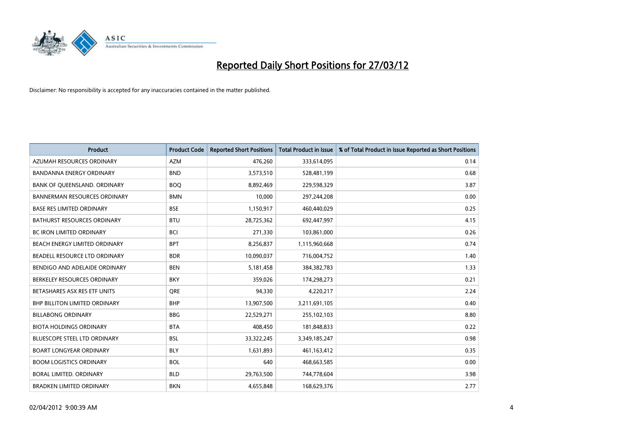

| <b>Product</b>                       | <b>Product Code</b> | <b>Reported Short Positions</b> | <b>Total Product in Issue</b> | % of Total Product in Issue Reported as Short Positions |
|--------------------------------------|---------------------|---------------------------------|-------------------------------|---------------------------------------------------------|
| AZUMAH RESOURCES ORDINARY            | <b>AZM</b>          | 476,260                         | 333,614,095                   | 0.14                                                    |
| BANDANNA ENERGY ORDINARY             | <b>BND</b>          | 3,573,510                       | 528,481,199                   | 0.68                                                    |
| BANK OF QUEENSLAND. ORDINARY         | <b>BOQ</b>          | 8,892,469                       | 229,598,329                   | 3.87                                                    |
| <b>BANNERMAN RESOURCES ORDINARY</b>  | <b>BMN</b>          | 10,000                          | 297,244,208                   | 0.00                                                    |
| <b>BASE RES LIMITED ORDINARY</b>     | <b>BSE</b>          | 1,150,917                       | 460,440,029                   | 0.25                                                    |
| <b>BATHURST RESOURCES ORDINARY</b>   | <b>BTU</b>          | 28,725,362                      | 692,447,997                   | 4.15                                                    |
| <b>BC IRON LIMITED ORDINARY</b>      | <b>BCI</b>          | 271,330                         | 103,861,000                   | 0.26                                                    |
| BEACH ENERGY LIMITED ORDINARY        | <b>BPT</b>          | 8,256,837                       | 1,115,960,668                 | 0.74                                                    |
| BEADELL RESOURCE LTD ORDINARY        | <b>BDR</b>          | 10,090,037                      | 716,004,752                   | 1.40                                                    |
| BENDIGO AND ADELAIDE ORDINARY        | <b>BEN</b>          | 5,181,458                       | 384, 382, 783                 | 1.33                                                    |
| BERKELEY RESOURCES ORDINARY          | <b>BKY</b>          | 359,026                         | 174,298,273                   | 0.21                                                    |
| BETASHARES ASX RES ETF UNITS         | <b>ORE</b>          | 94,330                          | 4,220,217                     | 2.24                                                    |
| <b>BHP BILLITON LIMITED ORDINARY</b> | <b>BHP</b>          | 13,907,500                      | 3,211,691,105                 | 0.40                                                    |
| <b>BILLABONG ORDINARY</b>            | <b>BBG</b>          | 22,529,271                      | 255,102,103                   | 8.80                                                    |
| <b>BIOTA HOLDINGS ORDINARY</b>       | <b>BTA</b>          | 408,450                         | 181,848,833                   | 0.22                                                    |
| BLUESCOPE STEEL LTD ORDINARY         | <b>BSL</b>          | 33,322,245                      | 3,349,185,247                 | 0.98                                                    |
| <b>BOART LONGYEAR ORDINARY</b>       | <b>BLY</b>          | 1,631,893                       | 461,163,412                   | 0.35                                                    |
| <b>BOOM LOGISTICS ORDINARY</b>       | <b>BOL</b>          | 640                             | 468,663,585                   | 0.00                                                    |
| <b>BORAL LIMITED, ORDINARY</b>       | <b>BLD</b>          | 29,763,500                      | 744,778,604                   | 3.98                                                    |
| <b>BRADKEN LIMITED ORDINARY</b>      | <b>BKN</b>          | 4,655,848                       | 168,629,376                   | 2.77                                                    |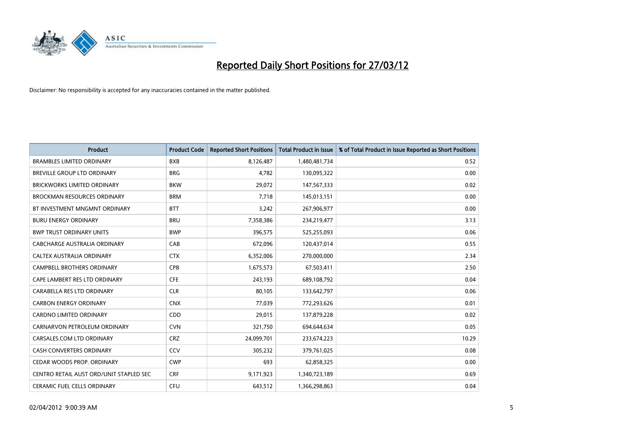

| <b>Product</b>                          | <b>Product Code</b> | <b>Reported Short Positions</b> | <b>Total Product in Issue</b> | % of Total Product in Issue Reported as Short Positions |
|-----------------------------------------|---------------------|---------------------------------|-------------------------------|---------------------------------------------------------|
| <b>BRAMBLES LIMITED ORDINARY</b>        | <b>BXB</b>          | 8,126,487                       | 1,480,481,734                 | 0.52                                                    |
| BREVILLE GROUP LTD ORDINARY             | <b>BRG</b>          | 4,782                           | 130,095,322                   | 0.00                                                    |
| <b>BRICKWORKS LIMITED ORDINARY</b>      | <b>BKW</b>          | 29,072                          | 147,567,333                   | 0.02                                                    |
| BROCKMAN RESOURCES ORDINARY             | <b>BRM</b>          | 7,718                           | 145,013,151                   | 0.00                                                    |
| BT INVESTMENT MNGMNT ORDINARY           | <b>BTT</b>          | 3,242                           | 267,906,977                   | 0.00                                                    |
| <b>BURU ENERGY ORDINARY</b>             | <b>BRU</b>          | 7,358,386                       | 234,219,477                   | 3.13                                                    |
| <b>BWP TRUST ORDINARY UNITS</b>         | <b>BWP</b>          | 396,575                         | 525,255,093                   | 0.06                                                    |
| <b>CABCHARGE AUSTRALIA ORDINARY</b>     | CAB                 | 672,096                         | 120,437,014                   | 0.55                                                    |
| CALTEX AUSTRALIA ORDINARY               | <b>CTX</b>          | 6,352,006                       | 270,000,000                   | 2.34                                                    |
| <b>CAMPBELL BROTHERS ORDINARY</b>       | <b>CPB</b>          | 1,675,573                       | 67,503,411                    | 2.50                                                    |
| CAPE LAMBERT RES LTD ORDINARY           | <b>CFE</b>          | 243,193                         | 689,108,792                   | 0.04                                                    |
| CARABELLA RES LTD ORDINARY              | <b>CLR</b>          | 80,105                          | 133,642,797                   | 0.06                                                    |
| <b>CARBON ENERGY ORDINARY</b>           | <b>CNX</b>          | 77,039                          | 772,293,626                   | 0.01                                                    |
| <b>CARDNO LIMITED ORDINARY</b>          | CDD                 | 29,015                          | 137,879,228                   | 0.02                                                    |
| CARNARVON PETROLEUM ORDINARY            | <b>CVN</b>          | 321,750                         | 694,644,634                   | 0.05                                                    |
| CARSALES.COM LTD ORDINARY               | <b>CRZ</b>          | 24,099,701                      | 233,674,223                   | 10.29                                                   |
| CASH CONVERTERS ORDINARY                | <b>CCV</b>          | 305,232                         | 379,761,025                   | 0.08                                                    |
| CEDAR WOODS PROP. ORDINARY              | <b>CWP</b>          | 693                             | 62,858,325                    | 0.00                                                    |
| CENTRO RETAIL AUST ORD/UNIT STAPLED SEC | <b>CRF</b>          | 9,171,923                       | 1,340,723,189                 | 0.69                                                    |
| CERAMIC FUEL CELLS ORDINARY             | <b>CFU</b>          | 643,512                         | 1,366,298,863                 | 0.04                                                    |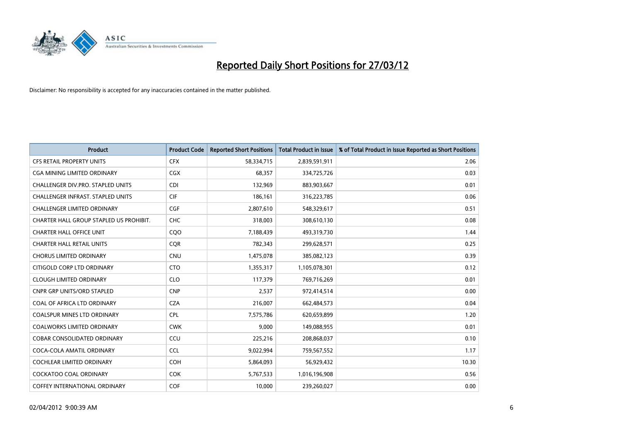

| <b>Product</b>                          | <b>Product Code</b> | <b>Reported Short Positions</b> | <b>Total Product in Issue</b> | % of Total Product in Issue Reported as Short Positions |
|-----------------------------------------|---------------------|---------------------------------|-------------------------------|---------------------------------------------------------|
| <b>CFS RETAIL PROPERTY UNITS</b>        | <b>CFX</b>          | 58,334,715                      | 2,839,591,911                 | 2.06                                                    |
| CGA MINING LIMITED ORDINARY             | <b>CGX</b>          | 68,357                          | 334,725,726                   | 0.03                                                    |
| CHALLENGER DIV.PRO. STAPLED UNITS       | <b>CDI</b>          | 132,969                         | 883,903,667                   | 0.01                                                    |
| CHALLENGER INFRAST. STAPLED UNITS       | <b>CIF</b>          | 186,161                         | 316,223,785                   | 0.06                                                    |
| <b>CHALLENGER LIMITED ORDINARY</b>      | <b>CGF</b>          | 2,807,610                       | 548,329,617                   | 0.51                                                    |
| CHARTER HALL GROUP STAPLED US PROHIBIT. | <b>CHC</b>          | 318,003                         | 308,610,130                   | 0.08                                                    |
| <b>CHARTER HALL OFFICE UNIT</b>         | CQ <sub>O</sub>     | 7,188,439                       | 493,319,730                   | 1.44                                                    |
| <b>CHARTER HALL RETAIL UNITS</b>        | <b>CQR</b>          | 782,343                         | 299,628,571                   | 0.25                                                    |
| <b>CHORUS LIMITED ORDINARY</b>          | <b>CNU</b>          | 1,475,078                       | 385,082,123                   | 0.39                                                    |
| CITIGOLD CORP LTD ORDINARY              | <b>CTO</b>          | 1,355,317                       | 1,105,078,301                 | 0.12                                                    |
| <b>CLOUGH LIMITED ORDINARY</b>          | <b>CLO</b>          | 117,379                         | 769,716,269                   | 0.01                                                    |
| <b>CNPR GRP UNITS/ORD STAPLED</b>       | <b>CNP</b>          | 2,537                           | 972,414,514                   | 0.00                                                    |
| COAL OF AFRICA LTD ORDINARY             | <b>CZA</b>          | 216,007                         | 662,484,573                   | 0.04                                                    |
| <b>COALSPUR MINES LTD ORDINARY</b>      | <b>CPL</b>          | 7,575,786                       | 620,659,899                   | 1.20                                                    |
| <b>COALWORKS LIMITED ORDINARY</b>       | <b>CWK</b>          | 9,000                           | 149,088,955                   | 0.01                                                    |
| COBAR CONSOLIDATED ORDINARY             | CCU                 | 225,216                         | 208,868,037                   | 0.10                                                    |
| COCA-COLA AMATIL ORDINARY               | <b>CCL</b>          | 9,022,994                       | 759,567,552                   | 1.17                                                    |
| <b>COCHLEAR LIMITED ORDINARY</b>        | <b>COH</b>          | 5,864,093                       | 56,929,432                    | 10.30                                                   |
| <b>COCKATOO COAL ORDINARY</b>           | <b>COK</b>          | 5,767,533                       | 1,016,196,908                 | 0.56                                                    |
| COFFEY INTERNATIONAL ORDINARY           | COF                 | 10,000                          | 239,260,027                   | 0.00                                                    |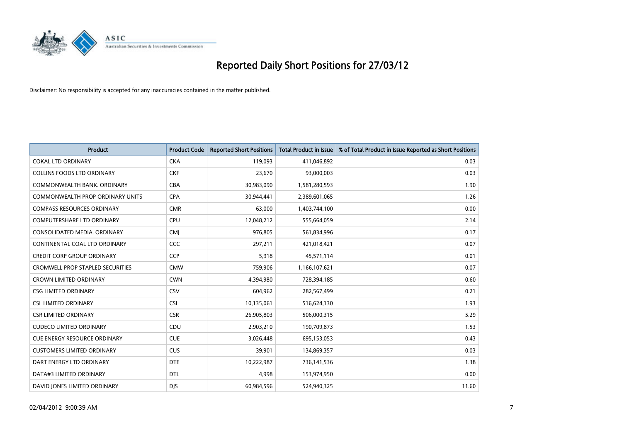

| Product                                 | <b>Product Code</b> | <b>Reported Short Positions</b> | <b>Total Product in Issue</b> | % of Total Product in Issue Reported as Short Positions |
|-----------------------------------------|---------------------|---------------------------------|-------------------------------|---------------------------------------------------------|
| <b>COKAL LTD ORDINARY</b>               | <b>CKA</b>          | 119,093                         | 411,046,892                   | 0.03                                                    |
| <b>COLLINS FOODS LTD ORDINARY</b>       | <b>CKF</b>          | 23,670                          | 93,000,003                    | 0.03                                                    |
| COMMONWEALTH BANK, ORDINARY             | <b>CBA</b>          | 30,983,090                      | 1,581,280,593                 | 1.90                                                    |
| COMMONWEALTH PROP ORDINARY UNITS        | <b>CPA</b>          | 30,944,441                      | 2,389,601,065                 | 1.26                                                    |
| <b>COMPASS RESOURCES ORDINARY</b>       | <b>CMR</b>          | 63,000                          | 1,403,744,100                 | 0.00                                                    |
| COMPUTERSHARE LTD ORDINARY              | <b>CPU</b>          | 12,048,212                      | 555,664,059                   | 2.14                                                    |
| CONSOLIDATED MEDIA, ORDINARY            | <b>CMJ</b>          | 976,805                         | 561,834,996                   | 0.17                                                    |
| CONTINENTAL COAL LTD ORDINARY           | CCC                 | 297,211                         | 421,018,421                   | 0.07                                                    |
| <b>CREDIT CORP GROUP ORDINARY</b>       | <b>CCP</b>          | 5,918                           | 45,571,114                    | 0.01                                                    |
| <b>CROMWELL PROP STAPLED SECURITIES</b> | <b>CMW</b>          | 759,906                         | 1,166,107,621                 | 0.07                                                    |
| <b>CROWN LIMITED ORDINARY</b>           | <b>CWN</b>          | 4,394,980                       | 728,394,185                   | 0.60                                                    |
| <b>CSG LIMITED ORDINARY</b>             | <b>CSV</b>          | 604,962                         | 282,567,499                   | 0.21                                                    |
| <b>CSL LIMITED ORDINARY</b>             | <b>CSL</b>          | 10,135,061                      | 516,624,130                   | 1.93                                                    |
| <b>CSR LIMITED ORDINARY</b>             | <b>CSR</b>          | 26,905,803                      | 506,000,315                   | 5.29                                                    |
| <b>CUDECO LIMITED ORDINARY</b>          | CDU                 | 2,903,210                       | 190,709,873                   | 1.53                                                    |
| <b>CUE ENERGY RESOURCE ORDINARY</b>     | <b>CUE</b>          | 3,026,448                       | 695,153,053                   | 0.43                                                    |
| <b>CUSTOMERS LIMITED ORDINARY</b>       | <b>CUS</b>          | 39,901                          | 134,869,357                   | 0.03                                                    |
| DART ENERGY LTD ORDINARY                | <b>DTE</b>          | 10,222,987                      | 736,141,536                   | 1.38                                                    |
| DATA#3 LIMITED ORDINARY                 | <b>DTL</b>          | 4,998                           | 153,974,950                   | 0.00                                                    |
| DAVID JONES LIMITED ORDINARY            | <b>DJS</b>          | 60,984,596                      | 524,940,325                   | 11.60                                                   |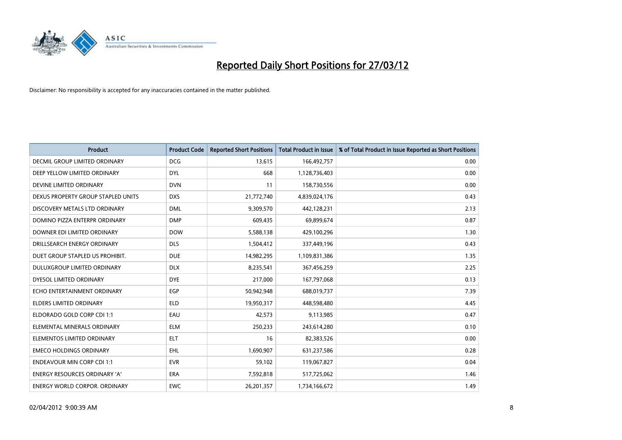

| <b>Product</b>                       | <b>Product Code</b> | <b>Reported Short Positions</b> | <b>Total Product in Issue</b> | % of Total Product in Issue Reported as Short Positions |
|--------------------------------------|---------------------|---------------------------------|-------------------------------|---------------------------------------------------------|
| DECMIL GROUP LIMITED ORDINARY        | <b>DCG</b>          | 13,615                          | 166,492,757                   | 0.00                                                    |
| DEEP YELLOW LIMITED ORDINARY         | <b>DYL</b>          | 668                             | 1,128,736,403                 | 0.00                                                    |
| DEVINE LIMITED ORDINARY              | <b>DVN</b>          | 11                              | 158,730,556                   | 0.00                                                    |
| DEXUS PROPERTY GROUP STAPLED UNITS   | <b>DXS</b>          | 21,772,740                      | 4,839,024,176                 | 0.43                                                    |
| DISCOVERY METALS LTD ORDINARY        | <b>DML</b>          | 9,309,570                       | 442,128,231                   | 2.13                                                    |
| DOMINO PIZZA ENTERPR ORDINARY        | <b>DMP</b>          | 609,435                         | 69,899,674                    | 0.87                                                    |
| DOWNER EDI LIMITED ORDINARY          | <b>DOW</b>          | 5,588,138                       | 429,100,296                   | 1.30                                                    |
| DRILLSEARCH ENERGY ORDINARY          | <b>DLS</b>          | 1,504,412                       | 337,449,196                   | 0.43                                                    |
| DUET GROUP STAPLED US PROHIBIT.      | <b>DUE</b>          | 14,982,295                      | 1,109,831,386                 | 1.35                                                    |
| DULUXGROUP LIMITED ORDINARY          | <b>DLX</b>          | 8,235,541                       | 367,456,259                   | 2.25                                                    |
| DYESOL LIMITED ORDINARY              | <b>DYE</b>          | 217,000                         | 167,797,068                   | 0.13                                                    |
| ECHO ENTERTAINMENT ORDINARY          | EGP                 | 50,942,948                      | 688,019,737                   | 7.39                                                    |
| <b>ELDERS LIMITED ORDINARY</b>       | <b>ELD</b>          | 19,950,317                      | 448,598,480                   | 4.45                                                    |
| ELDORADO GOLD CORP CDI 1:1           | EAU                 | 42,573                          | 9,113,985                     | 0.47                                                    |
| ELEMENTAL MINERALS ORDINARY          | <b>ELM</b>          | 250,233                         | 243,614,280                   | 0.10                                                    |
| ELEMENTOS LIMITED ORDINARY           | ELT                 | 16                              | 82,383,526                    | 0.00                                                    |
| <b>EMECO HOLDINGS ORDINARY</b>       | <b>EHL</b>          | 1,690,907                       | 631,237,586                   | 0.28                                                    |
| <b>ENDEAVOUR MIN CORP CDI 1:1</b>    | <b>EVR</b>          | 59,102                          | 119,067,827                   | 0.04                                                    |
| <b>ENERGY RESOURCES ORDINARY 'A'</b> | <b>ERA</b>          | 7,592,818                       | 517,725,062                   | 1.46                                                    |
| <b>ENERGY WORLD CORPOR, ORDINARY</b> | <b>EWC</b>          | 26,201,357                      | 1,734,166,672                 | 1.49                                                    |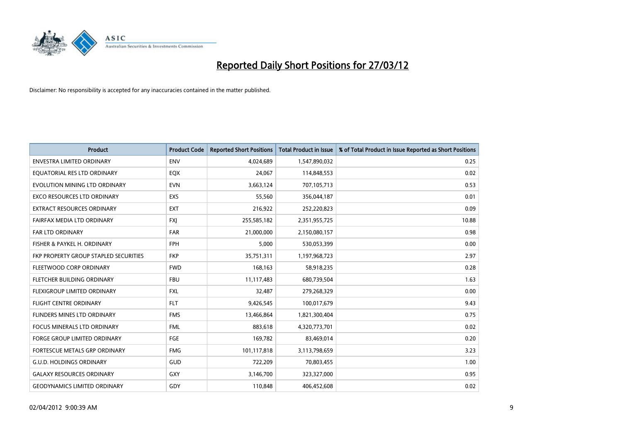

| <b>Product</b>                        | <b>Product Code</b> | <b>Reported Short Positions</b> | <b>Total Product in Issue</b> | % of Total Product in Issue Reported as Short Positions |
|---------------------------------------|---------------------|---------------------------------|-------------------------------|---------------------------------------------------------|
| <b>ENVESTRA LIMITED ORDINARY</b>      | <b>ENV</b>          | 4,024,689                       | 1,547,890,032                 | 0.25                                                    |
| EQUATORIAL RES LTD ORDINARY           | EQX                 | 24,067                          | 114,848,553                   | 0.02                                                    |
| EVOLUTION MINING LTD ORDINARY         | <b>EVN</b>          | 3,663,124                       | 707,105,713                   | 0.53                                                    |
| <b>EXCO RESOURCES LTD ORDINARY</b>    | <b>EXS</b>          | 55,560                          | 356,044,187                   | 0.01                                                    |
| <b>EXTRACT RESOURCES ORDINARY</b>     | <b>EXT</b>          | 216,922                         | 252,220,823                   | 0.09                                                    |
| FAIRFAX MEDIA LTD ORDINARY            | <b>FXJ</b>          | 255,585,182                     | 2,351,955,725                 | 10.88                                                   |
| <b>FAR LTD ORDINARY</b>               | <b>FAR</b>          | 21,000,000                      | 2,150,080,157                 | 0.98                                                    |
| FISHER & PAYKEL H. ORDINARY           | <b>FPH</b>          | 5,000                           | 530,053,399                   | 0.00                                                    |
| FKP PROPERTY GROUP STAPLED SECURITIES | <b>FKP</b>          | 35,751,311                      | 1,197,968,723                 | 2.97                                                    |
| FLEETWOOD CORP ORDINARY               | <b>FWD</b>          | 168,163                         | 58,918,235                    | 0.28                                                    |
| FLETCHER BUILDING ORDINARY            | <b>FBU</b>          | 11,117,483                      | 680,739,504                   | 1.63                                                    |
| FLEXIGROUP LIMITED ORDINARY           | FXL                 | 32,487                          | 279,268,329                   | 0.00                                                    |
| <b>FLIGHT CENTRE ORDINARY</b>         | <b>FLT</b>          | 9,426,545                       | 100,017,679                   | 9.43                                                    |
| FLINDERS MINES LTD ORDINARY           | <b>FMS</b>          | 13,466,864                      | 1,821,300,404                 | 0.75                                                    |
| <b>FOCUS MINERALS LTD ORDINARY</b>    | <b>FML</b>          | 883,618                         | 4,320,773,701                 | 0.02                                                    |
| <b>FORGE GROUP LIMITED ORDINARY</b>   | FGE                 | 169,782                         | 83,469,014                    | 0.20                                                    |
| FORTESCUE METALS GRP ORDINARY         | <b>FMG</b>          | 101,117,818                     | 3,113,798,659                 | 3.23                                                    |
| <b>G.U.D. HOLDINGS ORDINARY</b>       | <b>GUD</b>          | 722,209                         | 70,803,455                    | 1.00                                                    |
| <b>GALAXY RESOURCES ORDINARY</b>      | GXY                 | 3,146,700                       | 323,327,000                   | 0.95                                                    |
| <b>GEODYNAMICS LIMITED ORDINARY</b>   | GDY                 | 110,848                         | 406,452,608                   | 0.02                                                    |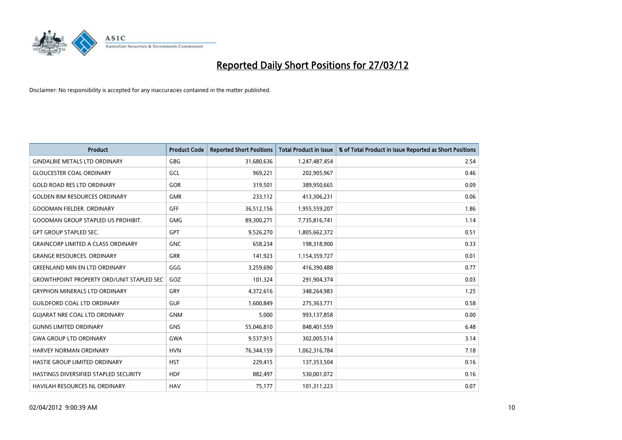

| <b>Product</b>                                   | <b>Product Code</b> | <b>Reported Short Positions</b> | <b>Total Product in Issue</b> | % of Total Product in Issue Reported as Short Positions |
|--------------------------------------------------|---------------------|---------------------------------|-------------------------------|---------------------------------------------------------|
| <b>GINDALBIE METALS LTD ORDINARY</b>             | GBG                 | 31,680,636                      | 1,247,487,454                 | 2.54                                                    |
| <b>GLOUCESTER COAL ORDINARY</b>                  | GCL                 | 969,221                         | 202,905,967                   | 0.46                                                    |
| <b>GOLD ROAD RES LTD ORDINARY</b>                | GOR                 | 319,501                         | 389,950,665                   | 0.09                                                    |
| <b>GOLDEN RIM RESOURCES ORDINARY</b>             | <b>GMR</b>          | 233,112                         | 413,306,231                   | 0.06                                                    |
| <b>GOODMAN FIELDER, ORDINARY</b>                 | <b>GFF</b>          | 36,512,156                      | 1,955,559,207                 | 1.86                                                    |
| <b>GOODMAN GROUP STAPLED US PROHIBIT.</b>        | <b>GMG</b>          | 89,300,271                      | 7,735,816,741                 | 1.14                                                    |
| <b>GPT GROUP STAPLED SEC.</b>                    | <b>GPT</b>          | 9,526,270                       | 1,805,662,372                 | 0.51                                                    |
| <b>GRAINCORP LIMITED A CLASS ORDINARY</b>        | <b>GNC</b>          | 658,234                         | 198,318,900                   | 0.33                                                    |
| <b>GRANGE RESOURCES, ORDINARY</b>                | GRR                 | 141,923                         | 1,154,359,727                 | 0.01                                                    |
| <b>GREENLAND MIN EN LTD ORDINARY</b>             | GGG                 | 3,259,690                       | 416,390,488                   | 0.77                                                    |
| <b>GROWTHPOINT PROPERTY ORD/UNIT STAPLED SEC</b> | GOZ                 | 101,324                         | 291,904,374                   | 0.03                                                    |
| <b>GRYPHON MINERALS LTD ORDINARY</b>             | GRY                 | 4,372,616                       | 348,264,983                   | 1.25                                                    |
| <b>GUILDFORD COAL LTD ORDINARY</b>               | <b>GUF</b>          | 1,600,849                       | 275,363,771                   | 0.58                                                    |
| <b>GUIARAT NRE COAL LTD ORDINARY</b>             | <b>GNM</b>          | 5,000                           | 993,137,858                   | 0.00                                                    |
| <b>GUNNS LIMITED ORDINARY</b>                    | <b>GNS</b>          | 55,046,810                      | 848,401,559                   | 6.48                                                    |
| <b>GWA GROUP LTD ORDINARY</b>                    | <b>GWA</b>          | 9,537,915                       | 302,005,514                   | 3.14                                                    |
| HARVEY NORMAN ORDINARY                           | <b>HVN</b>          | 76,344,159                      | 1,062,316,784                 | 7.18                                                    |
| HASTIE GROUP LIMITED ORDINARY                    | <b>HST</b>          | 229,415                         | 137,353,504                   | 0.16                                                    |
| HASTINGS DIVERSIFIED STAPLED SECURITY            | <b>HDF</b>          | 882,497                         | 530,001,072                   | 0.16                                                    |
| HAVILAH RESOURCES NL ORDINARY                    | <b>HAV</b>          | 75,177                          | 101,311,223                   | 0.07                                                    |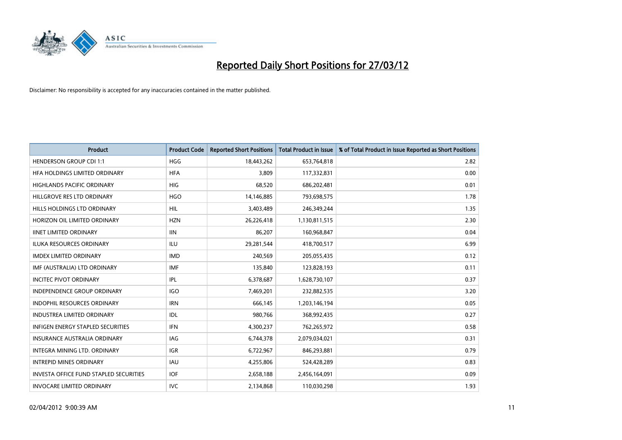

| <b>Product</b>                                | <b>Product Code</b> | <b>Reported Short Positions</b> | <b>Total Product in Issue</b> | % of Total Product in Issue Reported as Short Positions |
|-----------------------------------------------|---------------------|---------------------------------|-------------------------------|---------------------------------------------------------|
| <b>HENDERSON GROUP CDI 1:1</b>                | <b>HGG</b>          | 18,443,262                      | 653,764,818                   | 2.82                                                    |
| HFA HOLDINGS LIMITED ORDINARY                 | <b>HFA</b>          | 3,809                           | 117,332,831                   | 0.00                                                    |
| <b>HIGHLANDS PACIFIC ORDINARY</b>             | <b>HIG</b>          | 68,520                          | 686,202,481                   | 0.01                                                    |
| HILLGROVE RES LTD ORDINARY                    | <b>HGO</b>          | 14,146,885                      | 793,698,575                   | 1.78                                                    |
| HILLS HOLDINGS LTD ORDINARY                   | HIL                 | 3,403,489                       | 246,349,244                   | 1.35                                                    |
| HORIZON OIL LIMITED ORDINARY                  | <b>HZN</b>          | 26,226,418                      | 1,130,811,515                 | 2.30                                                    |
| <b>IINET LIMITED ORDINARY</b>                 | <b>IIN</b>          | 86,207                          | 160,968,847                   | 0.04                                                    |
| ILUKA RESOURCES ORDINARY                      | <b>ILU</b>          | 29,281,544                      | 418,700,517                   | 6.99                                                    |
| <b>IMDEX LIMITED ORDINARY</b>                 | <b>IMD</b>          | 240,569                         | 205,055,435                   | 0.12                                                    |
| IMF (AUSTRALIA) LTD ORDINARY                  | <b>IMF</b>          | 135,840                         | 123,828,193                   | 0.11                                                    |
| <b>INCITEC PIVOT ORDINARY</b>                 | IPL                 | 6,378,687                       | 1,628,730,107                 | 0.37                                                    |
| <b>INDEPENDENCE GROUP ORDINARY</b>            | <b>IGO</b>          | 7,469,201                       | 232,882,535                   | 3.20                                                    |
| INDOPHIL RESOURCES ORDINARY                   | <b>IRN</b>          | 666,145                         | 1,203,146,194                 | 0.05                                                    |
| <b>INDUSTREA LIMITED ORDINARY</b>             | IDL                 | 980,766                         | 368,992,435                   | 0.27                                                    |
| <b>INFIGEN ENERGY STAPLED SECURITIES</b>      | <b>IFN</b>          | 4,300,237                       | 762,265,972                   | 0.58                                                    |
| INSURANCE AUSTRALIA ORDINARY                  | IAG                 | 6,744,378                       | 2,079,034,021                 | 0.31                                                    |
| INTEGRA MINING LTD. ORDINARY                  | IGR                 | 6,722,967                       | 846,293,881                   | 0.79                                                    |
| <b>INTREPID MINES ORDINARY</b>                | <b>IAU</b>          | 4,255,806                       | 524,428,289                   | 0.83                                                    |
| <b>INVESTA OFFICE FUND STAPLED SECURITIES</b> | <b>IOF</b>          | 2,658,188                       | 2,456,164,091                 | 0.09                                                    |
| <b>INVOCARE LIMITED ORDINARY</b>              | <b>IVC</b>          | 2,134,868                       | 110,030,298                   | 1.93                                                    |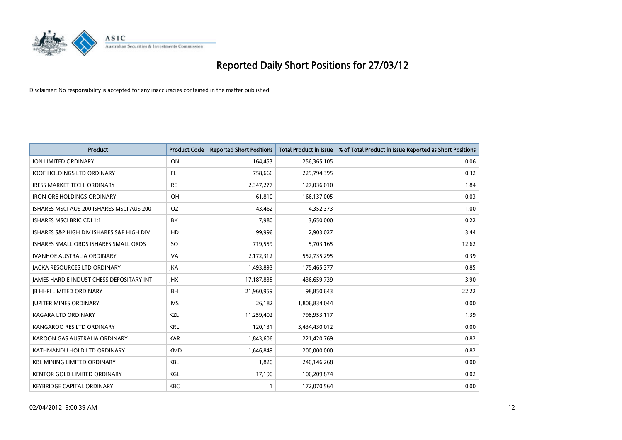

| <b>Product</b>                            | <b>Product Code</b> | <b>Reported Short Positions</b> | <b>Total Product in Issue</b> | % of Total Product in Issue Reported as Short Positions |
|-------------------------------------------|---------------------|---------------------------------|-------------------------------|---------------------------------------------------------|
| <b>ION LIMITED ORDINARY</b>               | <b>ION</b>          | 164,453                         | 256,365,105                   | 0.06                                                    |
| <b>IOOF HOLDINGS LTD ORDINARY</b>         | IFL                 | 758,666                         | 229,794,395                   | 0.32                                                    |
| <b>IRESS MARKET TECH. ORDINARY</b>        | <b>IRE</b>          | 2,347,277                       | 127,036,010                   | 1.84                                                    |
| <b>IRON ORE HOLDINGS ORDINARY</b>         | <b>IOH</b>          | 61,810                          | 166,137,005                   | 0.03                                                    |
| ISHARES MSCI AUS 200 ISHARES MSCI AUS 200 | IOZ                 | 43,462                          | 4,352,373                     | 1.00                                                    |
| <b>ISHARES MSCI BRIC CDI 1:1</b>          | <b>IBK</b>          | 7,980                           | 3,650,000                     | 0.22                                                    |
| ISHARES S&P HIGH DIV ISHARES S&P HIGH DIV | <b>IHD</b>          | 99,996                          | 2,903,027                     | 3.44                                                    |
| ISHARES SMALL ORDS ISHARES SMALL ORDS     | <b>ISO</b>          | 719,559                         | 5,703,165                     | 12.62                                                   |
| <b>IVANHOE AUSTRALIA ORDINARY</b>         | <b>IVA</b>          | 2,172,312                       | 552,735,295                   | 0.39                                                    |
| <b>JACKA RESOURCES LTD ORDINARY</b>       | <b>JKA</b>          | 1,493,893                       | 175,465,377                   | 0.85                                                    |
| JAMES HARDIE INDUST CHESS DEPOSITARY INT  | <b>IHX</b>          | 17,187,835                      | 436,659,739                   | 3.90                                                    |
| JB HI-FI LIMITED ORDINARY                 | <b>JBH</b>          | 21,960,959                      | 98,850,643                    | 22.22                                                   |
| <b>JUPITER MINES ORDINARY</b>             | <b>IMS</b>          | 26,182                          | 1,806,834,044                 | 0.00                                                    |
| <b>KAGARA LTD ORDINARY</b>                | KZL                 | 11,259,402                      | 798,953,117                   | 1.39                                                    |
| KANGAROO RES LTD ORDINARY                 | <b>KRL</b>          | 120,131                         | 3,434,430,012                 | 0.00                                                    |
| KAROON GAS AUSTRALIA ORDINARY             | <b>KAR</b>          | 1,843,606                       | 221,420,769                   | 0.82                                                    |
| KATHMANDU HOLD LTD ORDINARY               | <b>KMD</b>          | 1,646,849                       | 200,000,000                   | 0.82                                                    |
| <b>KBL MINING LIMITED ORDINARY</b>        | KBL                 | 1,820                           | 240,146,268                   | 0.00                                                    |
| KENTOR GOLD LIMITED ORDINARY              | KGL                 | 17,190                          | 106,209,874                   | 0.02                                                    |
| <b>KEYBRIDGE CAPITAL ORDINARY</b>         | <b>KBC</b>          | 1                               | 172,070,564                   | 0.00                                                    |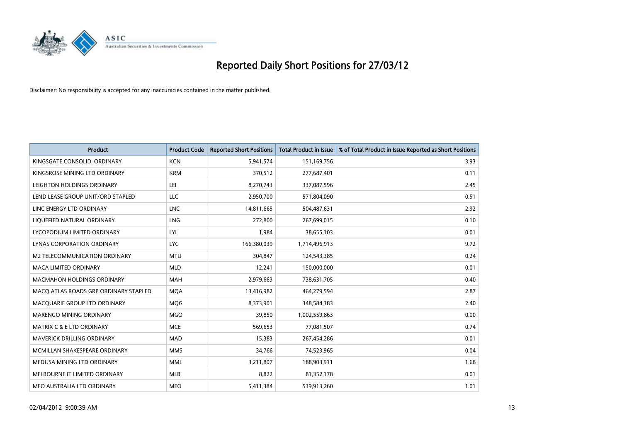

| <b>Product</b>                        | <b>Product Code</b> | <b>Reported Short Positions</b> | <b>Total Product in Issue</b> | % of Total Product in Issue Reported as Short Positions |
|---------------------------------------|---------------------|---------------------------------|-------------------------------|---------------------------------------------------------|
| KINGSGATE CONSOLID. ORDINARY          | <b>KCN</b>          | 5,941,574                       | 151,169,756                   | 3.93                                                    |
| KINGSROSE MINING LTD ORDINARY         | <b>KRM</b>          | 370,512                         | 277,687,401                   | 0.11                                                    |
| LEIGHTON HOLDINGS ORDINARY            | LEI                 | 8,270,743                       | 337,087,596                   | 2.45                                                    |
| LEND LEASE GROUP UNIT/ORD STAPLED     | <b>LLC</b>          | 2,950,700                       | 571,804,090                   | 0.51                                                    |
| LINC ENERGY LTD ORDINARY              | <b>LNC</b>          | 14,811,665                      | 504,487,631                   | 2.92                                                    |
| LIQUEFIED NATURAL ORDINARY            | LNG                 | 272,800                         | 267,699,015                   | 0.10                                                    |
| LYCOPODIUM LIMITED ORDINARY           | <b>LYL</b>          | 1,984                           | 38,655,103                    | 0.01                                                    |
| LYNAS CORPORATION ORDINARY            | <b>LYC</b>          | 166,380,039                     | 1,714,496,913                 | 9.72                                                    |
| <b>M2 TELECOMMUNICATION ORDINARY</b>  | <b>MTU</b>          | 304,847                         | 124,543,385                   | 0.24                                                    |
| <b>MACA LIMITED ORDINARY</b>          | <b>MLD</b>          | 12,241                          | 150,000,000                   | 0.01                                                    |
| <b>MACMAHON HOLDINGS ORDINARY</b>     | <b>MAH</b>          | 2,979,663                       | 738,631,705                   | 0.40                                                    |
| MACO ATLAS ROADS GRP ORDINARY STAPLED | <b>MOA</b>          | 13,416,982                      | 464,279,594                   | 2.87                                                    |
| MACQUARIE GROUP LTD ORDINARY          | <b>MOG</b>          | 8,373,901                       | 348,584,383                   | 2.40                                                    |
| MARENGO MINING ORDINARY               | <b>MGO</b>          | 39,850                          | 1,002,559,863                 | 0.00                                                    |
| <b>MATRIX C &amp; E LTD ORDINARY</b>  | <b>MCE</b>          | 569,653                         | 77,081,507                    | 0.74                                                    |
| MAVERICK DRILLING ORDINARY            | <b>MAD</b>          | 15,383                          | 267,454,286                   | 0.01                                                    |
| MCMILLAN SHAKESPEARE ORDINARY         | <b>MMS</b>          | 34,766                          | 74,523,965                    | 0.04                                                    |
| MEDUSA MINING LTD ORDINARY            | <b>MML</b>          | 3,211,807                       | 188,903,911                   | 1.68                                                    |
| MELBOURNE IT LIMITED ORDINARY         | <b>MLB</b>          | 8,822                           | 81,352,178                    | 0.01                                                    |
| MEO AUSTRALIA LTD ORDINARY            | <b>MEO</b>          | 5,411,384                       | 539,913,260                   | 1.01                                                    |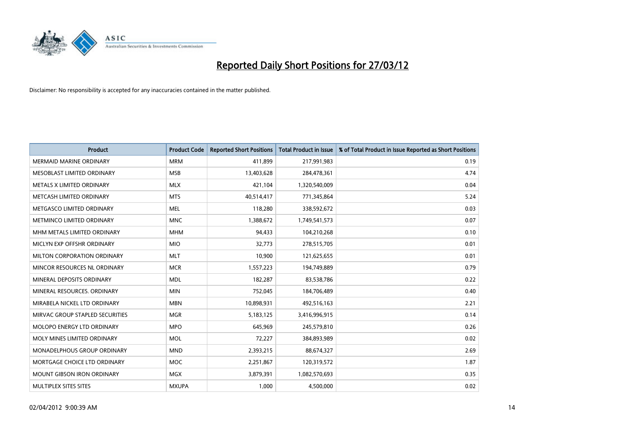

| <b>Product</b>                    | <b>Product Code</b> | <b>Reported Short Positions</b> | <b>Total Product in Issue</b> | % of Total Product in Issue Reported as Short Positions |
|-----------------------------------|---------------------|---------------------------------|-------------------------------|---------------------------------------------------------|
| <b>MERMAID MARINE ORDINARY</b>    | <b>MRM</b>          | 411,899                         | 217,991,983                   | 0.19                                                    |
| MESOBLAST LIMITED ORDINARY        | <b>MSB</b>          | 13,403,628                      | 284,478,361                   | 4.74                                                    |
| METALS X LIMITED ORDINARY         | <b>MLX</b>          | 421,104                         | 1,320,540,009                 | 0.04                                                    |
| METCASH LIMITED ORDINARY          | <b>MTS</b>          | 40,514,417                      | 771,345,864                   | 5.24                                                    |
| METGASCO LIMITED ORDINARY         | <b>MEL</b>          | 118,280                         | 338,592,672                   | 0.03                                                    |
| METMINCO LIMITED ORDINARY         | <b>MNC</b>          | 1,388,672                       | 1,749,541,573                 | 0.07                                                    |
| MHM METALS LIMITED ORDINARY       | <b>MHM</b>          | 94,433                          | 104,210,268                   | 0.10                                                    |
| MICLYN EXP OFFSHR ORDINARY        | <b>MIO</b>          | 32,773                          | 278,515,705                   | 0.01                                                    |
| MILTON CORPORATION ORDINARY       | <b>MLT</b>          | 10,900                          | 121,625,655                   | 0.01                                                    |
| MINCOR RESOURCES NL ORDINARY      | <b>MCR</b>          | 1,557,223                       | 194,749,889                   | 0.79                                                    |
| MINERAL DEPOSITS ORDINARY         | <b>MDL</b>          | 182,287                         | 83,538,786                    | 0.22                                                    |
| MINERAL RESOURCES, ORDINARY       | <b>MIN</b>          | 752,045                         | 184,706,489                   | 0.40                                                    |
| MIRABELA NICKEL LTD ORDINARY      | <b>MBN</b>          | 10,898,931                      | 492,516,163                   | 2.21                                                    |
| MIRVAC GROUP STAPLED SECURITIES   | <b>MGR</b>          | 5,183,125                       | 3,416,996,915                 | 0.14                                                    |
| MOLOPO ENERGY LTD ORDINARY        | <b>MPO</b>          | 645,969                         | 245,579,810                   | 0.26                                                    |
| MOLY MINES LIMITED ORDINARY       | <b>MOL</b>          | 72,227                          | 384,893,989                   | 0.02                                                    |
| MONADELPHOUS GROUP ORDINARY       | <b>MND</b>          | 2,393,215                       | 88,674,327                    | 2.69                                                    |
| MORTGAGE CHOICE LTD ORDINARY      | <b>MOC</b>          | 2,251,867                       | 120,319,572                   | 1.87                                                    |
| <b>MOUNT GIBSON IRON ORDINARY</b> | <b>MGX</b>          | 3,879,391                       | 1,082,570,693                 | 0.35                                                    |
| MULTIPLEX SITES SITES             | <b>MXUPA</b>        | 1,000                           | 4,500,000                     | 0.02                                                    |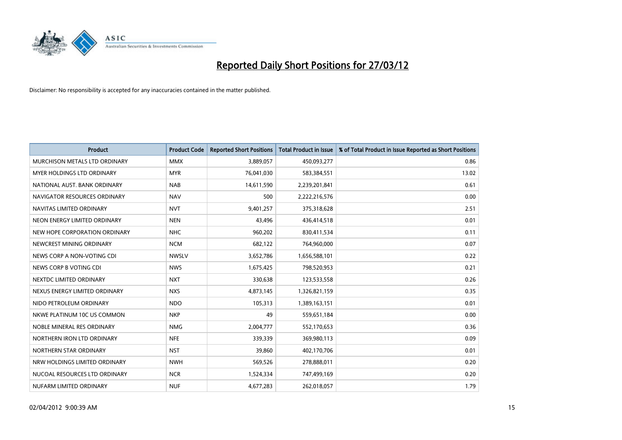

| <b>Product</b>                | <b>Product Code</b> | <b>Reported Short Positions</b> | <b>Total Product in Issue</b> | % of Total Product in Issue Reported as Short Positions |
|-------------------------------|---------------------|---------------------------------|-------------------------------|---------------------------------------------------------|
| MURCHISON METALS LTD ORDINARY | <b>MMX</b>          | 3,889,057                       | 450,093,277                   | 0.86                                                    |
| MYER HOLDINGS LTD ORDINARY    | <b>MYR</b>          | 76,041,030                      | 583,384,551                   | 13.02                                                   |
| NATIONAL AUST. BANK ORDINARY  | <b>NAB</b>          | 14,611,590                      | 2,239,201,841                 | 0.61                                                    |
| NAVIGATOR RESOURCES ORDINARY  | <b>NAV</b>          | 500                             | 2,222,216,576                 | 0.00                                                    |
| NAVITAS LIMITED ORDINARY      | <b>NVT</b>          | 9,401,257                       | 375,318,628                   | 2.51                                                    |
| NEON ENERGY LIMITED ORDINARY  | <b>NEN</b>          | 43,496                          | 436,414,518                   | 0.01                                                    |
| NEW HOPE CORPORATION ORDINARY | <b>NHC</b>          | 960,202                         | 830,411,534                   | 0.11                                                    |
| NEWCREST MINING ORDINARY      | <b>NCM</b>          | 682,122                         | 764,960,000                   | 0.07                                                    |
| NEWS CORP A NON-VOTING CDI    | <b>NWSLV</b>        | 3,652,786                       | 1,656,588,101                 | 0.22                                                    |
| NEWS CORP B VOTING CDI        | <b>NWS</b>          | 1,675,425                       | 798,520,953                   | 0.21                                                    |
| NEXTDC LIMITED ORDINARY       | <b>NXT</b>          | 330,638                         | 123,533,558                   | 0.26                                                    |
| NEXUS ENERGY LIMITED ORDINARY | <b>NXS</b>          | 4,873,145                       | 1,326,821,159                 | 0.35                                                    |
| NIDO PETROLEUM ORDINARY       | <b>NDO</b>          | 105,313                         | 1,389,163,151                 | 0.01                                                    |
| NKWE PLATINUM 10C US COMMON   | <b>NKP</b>          | 49                              | 559,651,184                   | 0.00                                                    |
| NOBLE MINERAL RES ORDINARY    | <b>NMG</b>          | 2,004,777                       | 552,170,653                   | 0.36                                                    |
| NORTHERN IRON LTD ORDINARY    | <b>NFE</b>          | 339,339                         | 369,980,113                   | 0.09                                                    |
| NORTHERN STAR ORDINARY        | <b>NST</b>          | 39,860                          | 402,170,706                   | 0.01                                                    |
| NRW HOLDINGS LIMITED ORDINARY | <b>NWH</b>          | 569,526                         | 278,888,011                   | 0.20                                                    |
| NUCOAL RESOURCES LTD ORDINARY | <b>NCR</b>          | 1,524,334                       | 747,499,169                   | 0.20                                                    |
| NUFARM LIMITED ORDINARY       | <b>NUF</b>          | 4,677,283                       | 262,018,057                   | 1.79                                                    |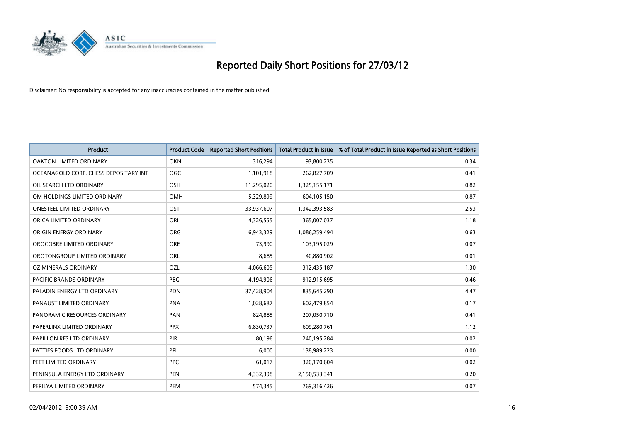

| <b>Product</b>                        | <b>Product Code</b> | <b>Reported Short Positions</b> | <b>Total Product in Issue</b> | % of Total Product in Issue Reported as Short Positions |
|---------------------------------------|---------------------|---------------------------------|-------------------------------|---------------------------------------------------------|
| <b>OAKTON LIMITED ORDINARY</b>        | <b>OKN</b>          | 316,294                         | 93,800,235                    | 0.34                                                    |
| OCEANAGOLD CORP. CHESS DEPOSITARY INT | <b>OGC</b>          | 1,101,918                       | 262,827,709                   | 0.41                                                    |
| OIL SEARCH LTD ORDINARY               | OSH                 | 11,295,020                      | 1,325,155,171                 | 0.82                                                    |
| OM HOLDINGS LIMITED ORDINARY          | <b>OMH</b>          | 5,329,899                       | 604,105,150                   | 0.87                                                    |
| <b>ONESTEEL LIMITED ORDINARY</b>      | OST                 | 33,937,607                      | 1,342,393,583                 | 2.53                                                    |
| ORICA LIMITED ORDINARY                | ORI                 | 4,326,555                       | 365,007,037                   | 1.18                                                    |
| ORIGIN ENERGY ORDINARY                | <b>ORG</b>          | 6,943,329                       | 1,086,259,494                 | 0.63                                                    |
| OROCOBRE LIMITED ORDINARY             | <b>ORE</b>          | 73,990                          | 103,195,029                   | 0.07                                                    |
| OROTONGROUP LIMITED ORDINARY          | ORL                 | 8,685                           | 40,880,902                    | 0.01                                                    |
| <b>OZ MINERALS ORDINARY</b>           | <b>OZL</b>          | 4,066,605                       | 312,435,187                   | 1.30                                                    |
| PACIFIC BRANDS ORDINARY               | <b>PBG</b>          | 4,194,906                       | 912,915,695                   | 0.46                                                    |
| PALADIN ENERGY LTD ORDINARY           | <b>PDN</b>          | 37,428,904                      | 835,645,290                   | 4.47                                                    |
| PANAUST LIMITED ORDINARY              | <b>PNA</b>          | 1,028,687                       | 602,479,854                   | 0.17                                                    |
| PANORAMIC RESOURCES ORDINARY          | PAN                 | 824,885                         | 207,050,710                   | 0.41                                                    |
| PAPERLINX LIMITED ORDINARY            | <b>PPX</b>          | 6,830,737                       | 609,280,761                   | 1.12                                                    |
| PAPILLON RES LTD ORDINARY             | PIR                 | 80,196                          | 240,195,284                   | 0.02                                                    |
| PATTIES FOODS LTD ORDINARY            | PFL                 | 6,000                           | 138,989,223                   | 0.00                                                    |
| PEET LIMITED ORDINARY                 | <b>PPC</b>          | 61,017                          | 320,170,604                   | 0.02                                                    |
| PENINSULA ENERGY LTD ORDINARY         | <b>PEN</b>          | 4,332,398                       | 2,150,533,341                 | 0.20                                                    |
| PERILYA LIMITED ORDINARY              | PEM                 | 574,345                         | 769,316,426                   | 0.07                                                    |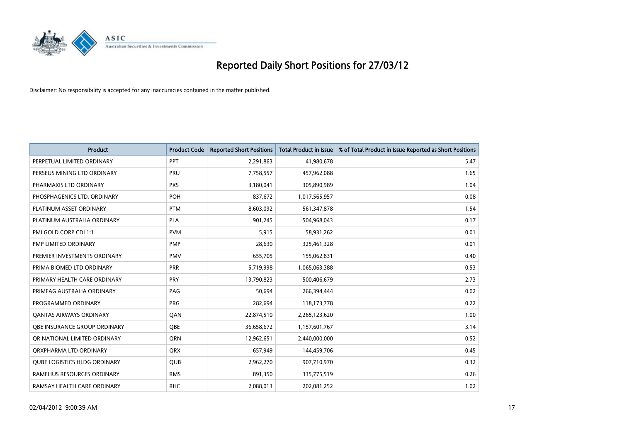

| <b>Product</b>                      | <b>Product Code</b> | <b>Reported Short Positions</b> | <b>Total Product in Issue</b> | % of Total Product in Issue Reported as Short Positions |
|-------------------------------------|---------------------|---------------------------------|-------------------------------|---------------------------------------------------------|
| PERPETUAL LIMITED ORDINARY          | PPT                 | 2,291,863                       | 41,980,678                    | 5.47                                                    |
| PERSEUS MINING LTD ORDINARY         | PRU                 | 7,758,557                       | 457,962,088                   | 1.65                                                    |
| PHARMAXIS LTD ORDINARY              | <b>PXS</b>          | 3,180,041                       | 305,890,989                   | 1.04                                                    |
| PHOSPHAGENICS LTD. ORDINARY         | <b>POH</b>          | 837,672                         | 1,017,565,957                 | 0.08                                                    |
| PLATINUM ASSET ORDINARY             | <b>PTM</b>          | 8,603,092                       | 561,347,878                   | 1.54                                                    |
| PLATINUM AUSTRALIA ORDINARY         | <b>PLA</b>          | 901,245                         | 504,968,043                   | 0.17                                                    |
| PMI GOLD CORP CDI 1:1               | <b>PVM</b>          | 5,915                           | 58,931,262                    | 0.01                                                    |
| PMP LIMITED ORDINARY                | <b>PMP</b>          | 28,630                          | 325,461,328                   | 0.01                                                    |
| PREMIER INVESTMENTS ORDINARY        | <b>PMV</b>          | 655,705                         | 155,062,831                   | 0.40                                                    |
| PRIMA BIOMED LTD ORDINARY           | <b>PRR</b>          | 5,719,998                       | 1,065,063,388                 | 0.53                                                    |
| PRIMARY HEALTH CARE ORDINARY        | <b>PRY</b>          | 13,790,823                      | 500,406,679                   | 2.73                                                    |
| PRIMEAG AUSTRALIA ORDINARY          | PAG                 | 50,694                          | 266,394,444                   | 0.02                                                    |
| PROGRAMMED ORDINARY                 | <b>PRG</b>          | 282,694                         | 118,173,778                   | 0.22                                                    |
| <b>QANTAS AIRWAYS ORDINARY</b>      | QAN                 | 22,874,510                      | 2,265,123,620                 | 1.00                                                    |
| OBE INSURANCE GROUP ORDINARY        | <b>OBE</b>          | 36,658,672                      | 1,157,601,767                 | 3.14                                                    |
| OR NATIONAL LIMITED ORDINARY        | <b>ORN</b>          | 12,962,651                      | 2,440,000,000                 | 0.52                                                    |
| ORXPHARMA LTD ORDINARY              | <b>ORX</b>          | 657,949                         | 144,459,706                   | 0.45                                                    |
| <b>QUBE LOGISTICS HLDG ORDINARY</b> | QUB                 | 2,962,270                       | 907,710,970                   | 0.32                                                    |
| RAMELIUS RESOURCES ORDINARY         | <b>RMS</b>          | 891,350                         | 335,775,519                   | 0.26                                                    |
| RAMSAY HEALTH CARE ORDINARY         | <b>RHC</b>          | 2,088,013                       | 202,081,252                   | 1.02                                                    |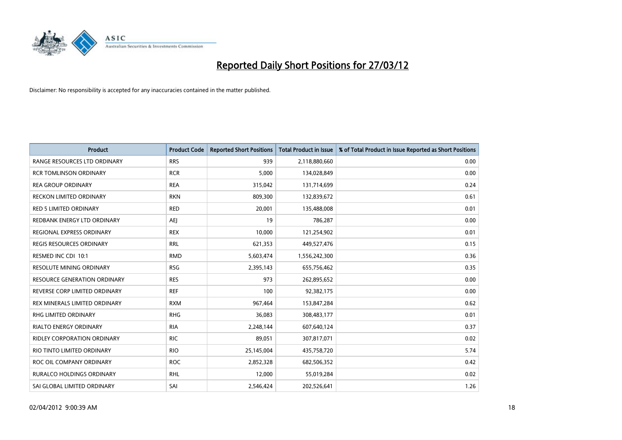

| <b>Product</b>                   | <b>Product Code</b> | <b>Reported Short Positions</b> | <b>Total Product in Issue</b> | % of Total Product in Issue Reported as Short Positions |
|----------------------------------|---------------------|---------------------------------|-------------------------------|---------------------------------------------------------|
| RANGE RESOURCES LTD ORDINARY     | <b>RRS</b>          | 939                             | 2,118,880,660                 | 0.00                                                    |
| <b>RCR TOMLINSON ORDINARY</b>    | <b>RCR</b>          | 5,000                           | 134,028,849                   | 0.00                                                    |
| <b>REA GROUP ORDINARY</b>        | <b>REA</b>          | 315,042                         | 131,714,699                   | 0.24                                                    |
| RECKON LIMITED ORDINARY          | <b>RKN</b>          | 809,300                         | 132,839,672                   | 0.61                                                    |
| <b>RED 5 LIMITED ORDINARY</b>    | <b>RED</b>          | 20,001                          | 135,488,008                   | 0.01                                                    |
| REDBANK ENERGY LTD ORDINARY      | <b>AEJ</b>          | 19                              | 786,287                       | 0.00                                                    |
| REGIONAL EXPRESS ORDINARY        | <b>REX</b>          | 10,000                          | 121,254,902                   | 0.01                                                    |
| REGIS RESOURCES ORDINARY         | <b>RRL</b>          | 621,353                         | 449,527,476                   | 0.15                                                    |
| RESMED INC CDI 10:1              | <b>RMD</b>          | 5,603,474                       | 1,556,242,300                 | 0.36                                                    |
| <b>RESOLUTE MINING ORDINARY</b>  | <b>RSG</b>          | 2,395,143                       | 655,756,462                   | 0.35                                                    |
| RESOURCE GENERATION ORDINARY     | <b>RES</b>          | 973                             | 262,895,652                   | 0.00                                                    |
| REVERSE CORP LIMITED ORDINARY    | <b>REF</b>          | 100                             | 92,382,175                    | 0.00                                                    |
| REX MINERALS LIMITED ORDINARY    | <b>RXM</b>          | 967,464                         | 153,847,284                   | 0.62                                                    |
| <b>RHG LIMITED ORDINARY</b>      | <b>RHG</b>          | 36,083                          | 308,483,177                   | 0.01                                                    |
| <b>RIALTO ENERGY ORDINARY</b>    | <b>RIA</b>          | 2,248,144                       | 607,640,124                   | 0.37                                                    |
| RIDLEY CORPORATION ORDINARY      | <b>RIC</b>          | 89,051                          | 307,817,071                   | 0.02                                                    |
| RIO TINTO LIMITED ORDINARY       | <b>RIO</b>          | 25,145,004                      | 435,758,720                   | 5.74                                                    |
| ROC OIL COMPANY ORDINARY         | <b>ROC</b>          | 2,852,328                       | 682,506,352                   | 0.42                                                    |
| <b>RURALCO HOLDINGS ORDINARY</b> | <b>RHL</b>          | 12,000                          | 55,019,284                    | 0.02                                                    |
| SAI GLOBAL LIMITED ORDINARY      | SAI                 | 2,546,424                       | 202,526,641                   | 1.26                                                    |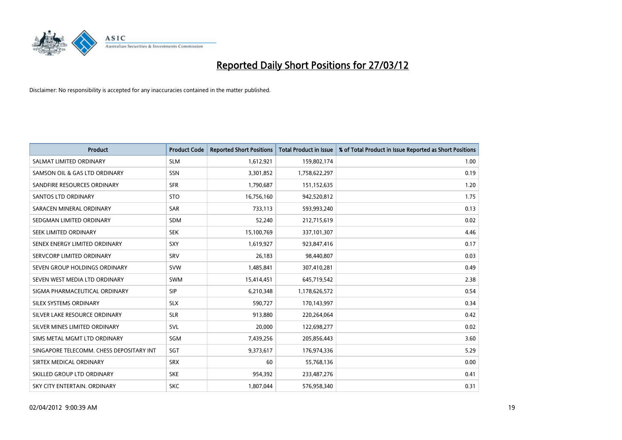

| <b>Product</b>                           | <b>Product Code</b> | <b>Reported Short Positions</b> | <b>Total Product in Issue</b> | % of Total Product in Issue Reported as Short Positions |
|------------------------------------------|---------------------|---------------------------------|-------------------------------|---------------------------------------------------------|
| SALMAT LIMITED ORDINARY                  | <b>SLM</b>          | 1,612,921                       | 159,802,174                   | 1.00                                                    |
| SAMSON OIL & GAS LTD ORDINARY            | <b>SSN</b>          | 3,301,852                       | 1,758,622,297                 | 0.19                                                    |
| SANDFIRE RESOURCES ORDINARY              | <b>SFR</b>          | 1,790,687                       | 151,152,635                   | 1.20                                                    |
| SANTOS LTD ORDINARY                      | <b>STO</b>          | 16,756,160                      | 942,520,812                   | 1.75                                                    |
| SARACEN MINERAL ORDINARY                 | <b>SAR</b>          | 733,113                         | 593,993,240                   | 0.13                                                    |
| SEDGMAN LIMITED ORDINARY                 | <b>SDM</b>          | 52,240                          | 212,715,619                   | 0.02                                                    |
| SEEK LIMITED ORDINARY                    | <b>SEK</b>          | 15,100,769                      | 337,101,307                   | 4.46                                                    |
| SENEX ENERGY LIMITED ORDINARY            | SXY                 | 1,619,927                       | 923,847,416                   | 0.17                                                    |
| SERVCORP LIMITED ORDINARY                | SRV                 | 26,183                          | 98,440,807                    | 0.03                                                    |
| SEVEN GROUP HOLDINGS ORDINARY            | <b>SVW</b>          | 1,485,841                       | 307,410,281                   | 0.49                                                    |
| SEVEN WEST MEDIA LTD ORDINARY            | <b>SWM</b>          | 15,414,451                      | 645,719,542                   | 2.38                                                    |
| SIGMA PHARMACEUTICAL ORDINARY            | <b>SIP</b>          | 6,210,348                       | 1,178,626,572                 | 0.54                                                    |
| SILEX SYSTEMS ORDINARY                   | <b>SLX</b>          | 590,727                         | 170,143,997                   | 0.34                                                    |
| SILVER LAKE RESOURCE ORDINARY            | <b>SLR</b>          | 913,880                         | 220,264,064                   | 0.42                                                    |
| SILVER MINES LIMITED ORDINARY            | SVL                 | 20,000                          | 122,698,277                   | 0.02                                                    |
| SIMS METAL MGMT LTD ORDINARY             | SGM                 | 7,439,256                       | 205,856,443                   | 3.60                                                    |
| SINGAPORE TELECOMM. CHESS DEPOSITARY INT | SGT                 | 9,373,617                       | 176,974,336                   | 5.29                                                    |
| SIRTEX MEDICAL ORDINARY                  | <b>SRX</b>          | 60                              | 55,768,136                    | 0.00                                                    |
| SKILLED GROUP LTD ORDINARY               | <b>SKE</b>          | 954,392                         | 233,487,276                   | 0.41                                                    |
| SKY CITY ENTERTAIN, ORDINARY             | <b>SKC</b>          | 1,807,044                       | 576,958,340                   | 0.31                                                    |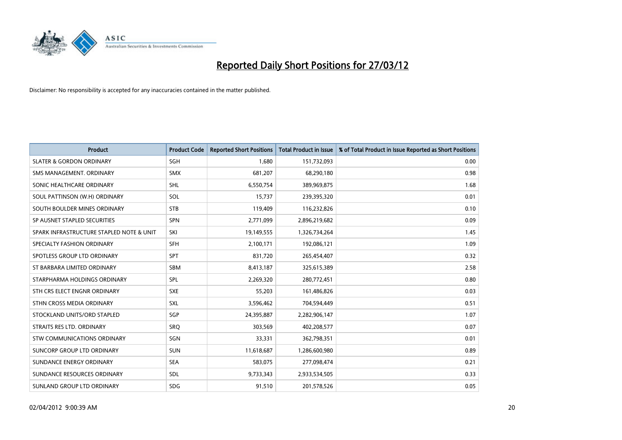

| <b>Product</b>                           | <b>Product Code</b> | <b>Reported Short Positions</b> | <b>Total Product in Issue</b> | % of Total Product in Issue Reported as Short Positions |
|------------------------------------------|---------------------|---------------------------------|-------------------------------|---------------------------------------------------------|
| <b>SLATER &amp; GORDON ORDINARY</b>      | SGH                 | 1,680                           | 151,732,093                   | 0.00                                                    |
| SMS MANAGEMENT, ORDINARY                 | <b>SMX</b>          | 681,207                         | 68,290,180                    | 0.98                                                    |
| SONIC HEALTHCARE ORDINARY                | <b>SHL</b>          | 6,550,754                       | 389,969,875                   | 1.68                                                    |
| SOUL PATTINSON (W.H) ORDINARY            | SOL                 | 15,737                          | 239,395,320                   | 0.01                                                    |
| SOUTH BOULDER MINES ORDINARY             | <b>STB</b>          | 119,409                         | 116,232,826                   | 0.10                                                    |
| SP AUSNET STAPLED SECURITIES             | <b>SPN</b>          | 2,771,099                       | 2,896,219,682                 | 0.09                                                    |
| SPARK INFRASTRUCTURE STAPLED NOTE & UNIT | SKI                 | 19,149,555                      | 1,326,734,264                 | 1.45                                                    |
| SPECIALTY FASHION ORDINARY               | <b>SFH</b>          | 2,100,171                       | 192,086,121                   | 1.09                                                    |
| SPOTLESS GROUP LTD ORDINARY              | <b>SPT</b>          | 831,720                         | 265,454,407                   | 0.32                                                    |
| ST BARBARA LIMITED ORDINARY              | <b>SBM</b>          | 8,413,187                       | 325,615,389                   | 2.58                                                    |
| STARPHARMA HOLDINGS ORDINARY             | <b>SPL</b>          | 2,269,320                       | 280,772,451                   | 0.80                                                    |
| STH CRS ELECT ENGNR ORDINARY             | <b>SXE</b>          | 55,203                          | 161,486,826                   | 0.03                                                    |
| STHN CROSS MEDIA ORDINARY                | SXL                 | 3,596,462                       | 704,594,449                   | 0.51                                                    |
| STOCKLAND UNITS/ORD STAPLED              | <b>SGP</b>          | 24,395,887                      | 2,282,906,147                 | 1.07                                                    |
| STRAITS RES LTD. ORDINARY                | SRO                 | 303,569                         | 402,208,577                   | 0.07                                                    |
| STW COMMUNICATIONS ORDINARY              | SGN                 | 33,331                          | 362,798,351                   | 0.01                                                    |
| SUNCORP GROUP LTD ORDINARY               | <b>SUN</b>          | 11,618,687                      | 1,286,600,980                 | 0.89                                                    |
| SUNDANCE ENERGY ORDINARY                 | <b>SEA</b>          | 583,075                         | 277,098,474                   | 0.21                                                    |
| SUNDANCE RESOURCES ORDINARY              | <b>SDL</b>          | 9,733,343                       | 2,933,534,505                 | 0.33                                                    |
| SUNLAND GROUP LTD ORDINARY               | <b>SDG</b>          | 91,510                          | 201,578,526                   | 0.05                                                    |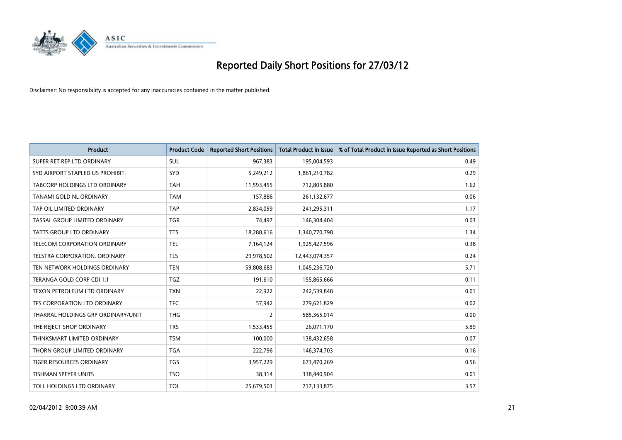

| <b>Product</b>                     | <b>Product Code</b> | <b>Reported Short Positions</b> | <b>Total Product in Issue</b> | % of Total Product in Issue Reported as Short Positions |
|------------------------------------|---------------------|---------------------------------|-------------------------------|---------------------------------------------------------|
| SUPER RET REP LTD ORDINARY         | <b>SUL</b>          | 967,383                         | 195,004,593                   | 0.49                                                    |
| SYD AIRPORT STAPLED US PROHIBIT.   | SYD                 | 5,249,212                       | 1,861,210,782                 | 0.29                                                    |
| TABCORP HOLDINGS LTD ORDINARY      | <b>TAH</b>          | 11,593,455                      | 712,805,880                   | 1.62                                                    |
| TANAMI GOLD NL ORDINARY            | <b>TAM</b>          | 157,886                         | 261,132,677                   | 0.06                                                    |
| TAP OIL LIMITED ORDINARY           | <b>TAP</b>          | 2,834,059                       | 241,295,311                   | 1.17                                                    |
| TASSAL GROUP LIMITED ORDINARY      | <b>TGR</b>          | 74,497                          | 146,304,404                   | 0.03                                                    |
| TATTS GROUP LTD ORDINARY           | <b>TTS</b>          | 18,288,616                      | 1,340,770,798                 | 1.34                                                    |
| TELECOM CORPORATION ORDINARY       | <b>TEL</b>          | 7,164,124                       | 1,925,427,596                 | 0.38                                                    |
| TELSTRA CORPORATION, ORDINARY      | <b>TLS</b>          | 29,978,502                      | 12,443,074,357                | 0.24                                                    |
| TEN NETWORK HOLDINGS ORDINARY      | <b>TEN</b>          | 59,808,683                      | 1,045,236,720                 | 5.71                                                    |
| TERANGA GOLD CORP CDI 1:1          | TGZ                 | 191,610                         | 155,865,666                   | 0.11                                                    |
| TEXON PETROLEUM LTD ORDINARY       | <b>TXN</b>          | 22,922                          | 242,539,848                   | 0.01                                                    |
| TFS CORPORATION LTD ORDINARY       | <b>TFC</b>          | 57,942                          | 279,621,829                   | 0.02                                                    |
| THAKRAL HOLDINGS GRP ORDINARY/UNIT | <b>THG</b>          | $\overline{2}$                  | 585,365,014                   | 0.00                                                    |
| THE REJECT SHOP ORDINARY           | <b>TRS</b>          | 1,533,455                       | 26,071,170                    | 5.89                                                    |
| THINKSMART LIMITED ORDINARY        | <b>TSM</b>          | 100,000                         | 138,432,658                   | 0.07                                                    |
| THORN GROUP LIMITED ORDINARY       | <b>TGA</b>          | 222,796                         | 146,374,703                   | 0.16                                                    |
| TIGER RESOURCES ORDINARY           | <b>TGS</b>          | 3,957,229                       | 673,470,269                   | 0.56                                                    |
| <b>TISHMAN SPEYER UNITS</b>        | <b>TSO</b>          | 38,314                          | 338,440,904                   | 0.01                                                    |
| TOLL HOLDINGS LTD ORDINARY         | <b>TOL</b>          | 25,679,503                      | 717,133,875                   | 3.57                                                    |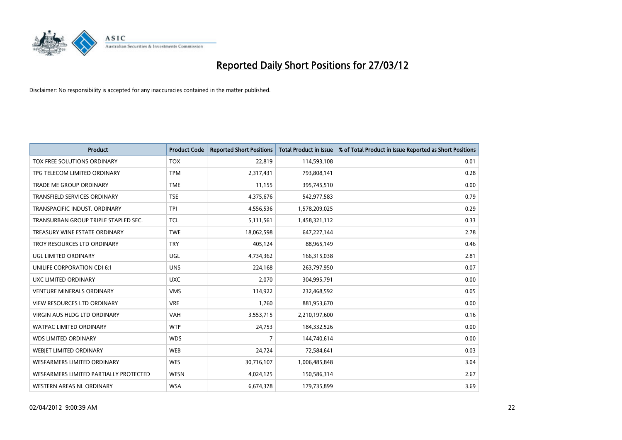

| <b>Product</b>                         | <b>Product Code</b> | <b>Reported Short Positions</b> | <b>Total Product in Issue</b> | % of Total Product in Issue Reported as Short Positions |
|----------------------------------------|---------------------|---------------------------------|-------------------------------|---------------------------------------------------------|
| TOX FREE SOLUTIONS ORDINARY            | <b>TOX</b>          | 22,819                          | 114,593,108                   | 0.01                                                    |
| TPG TELECOM LIMITED ORDINARY           | <b>TPM</b>          | 2,317,431                       | 793,808,141                   | 0.28                                                    |
| <b>TRADE ME GROUP ORDINARY</b>         | <b>TME</b>          | 11,155                          | 395,745,510                   | 0.00                                                    |
| TRANSFIELD SERVICES ORDINARY           | <b>TSE</b>          | 4,375,676                       | 542,977,583                   | 0.79                                                    |
| TRANSPACIFIC INDUST, ORDINARY          | <b>TPI</b>          | 4,556,536                       | 1,578,209,025                 | 0.29                                                    |
| TRANSURBAN GROUP TRIPLE STAPLED SEC.   | <b>TCL</b>          | 5,111,561                       | 1,458,321,112                 | 0.33                                                    |
| TREASURY WINE ESTATE ORDINARY          | <b>TWE</b>          | 18,062,598                      | 647,227,144                   | 2.78                                                    |
| TROY RESOURCES LTD ORDINARY            | <b>TRY</b>          | 405.124                         | 88,965,149                    | 0.46                                                    |
| <b>UGL LIMITED ORDINARY</b>            | UGL                 | 4,734,362                       | 166,315,038                   | 2.81                                                    |
| UNILIFE CORPORATION CDI 6:1            | <b>UNS</b>          | 224,168                         | 263,797,950                   | 0.07                                                    |
| UXC LIMITED ORDINARY                   | <b>UXC</b>          | 2,070                           | 304,995,791                   | 0.00                                                    |
| <b>VENTURE MINERALS ORDINARY</b>       | <b>VMS</b>          | 114,922                         | 232,468,592                   | 0.05                                                    |
| <b>VIEW RESOURCES LTD ORDINARY</b>     | <b>VRE</b>          | 1,760                           | 881,953,670                   | 0.00                                                    |
| <b>VIRGIN AUS HLDG LTD ORDINARY</b>    | <b>VAH</b>          | 3,553,715                       | 2,210,197,600                 | 0.16                                                    |
| <b>WATPAC LIMITED ORDINARY</b>         | <b>WTP</b>          | 24,753                          | 184,332,526                   | 0.00                                                    |
| <b>WDS LIMITED ORDINARY</b>            | <b>WDS</b>          | 7                               | 144,740,614                   | 0.00                                                    |
| WEBJET LIMITED ORDINARY                | <b>WEB</b>          | 24,724                          | 72,584,641                    | 0.03                                                    |
| <b>WESFARMERS LIMITED ORDINARY</b>     | <b>WES</b>          | 30,716,107                      | 1,006,485,848                 | 3.04                                                    |
| WESFARMERS LIMITED PARTIALLY PROTECTED | <b>WESN</b>         | 4,024,125                       | 150,586,314                   | 2.67                                                    |
| WESTERN AREAS NL ORDINARY              | <b>WSA</b>          | 6,674,378                       | 179,735,899                   | 3.69                                                    |